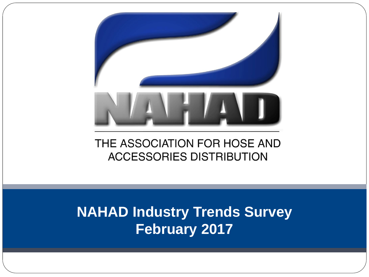

### THE ASSOCIATION FOR HOSE AND **ACCESSORIES DISTRIBUTION**

# **NAHAD Industry Trends Survey February 2017**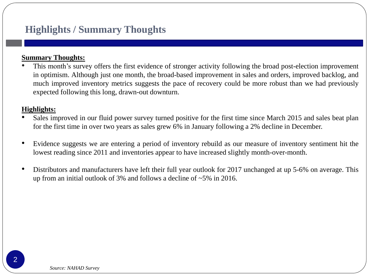### **Highlights / Summary Thoughts**

#### **Summary Thoughts:**

This month's survey offers the first evidence of stronger activity following the broad post-election improvement in optimism. Although just one month, the broad-based improvement in sales and orders, improved backlog, and much improved inventory metrics suggests the pace of recovery could be more robust than we had previously expected following this long, drawn-out downturn.

#### **Highlights:**

- Sales improved in our fluid power survey turned positive for the first time since March 2015 and sales beat plan for the first time in over two years as sales grew 6% in January following a 2% decline in December.
- Evidence suggests we are entering a period of inventory rebuild as our measure of inventory sentiment hit the lowest reading since 2011 and inventories appear to have increased slightly month-over-month.
- Distributors and manufacturers have left their full year outlook for 2017 unchanged at up 5-6% on average. This up from an initial outlook of 3% and follows a decline of ~5% in 2016.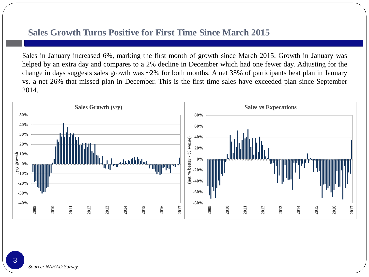#### **Sales Growth Turns Positive for First Time Since March 2015**

Sales in January increased 6%, marking the first month of growth since March 2015. Growth in January was helped by an extra day and compares to a 2% decline in December which had one fewer day. Adjusting for the change in days suggests sales growth was ~2% for both months. A net 35% of participants beat plan in January vs. a net 26% that missed plan in December. This is the first time sales have exceeded plan since September 2014.

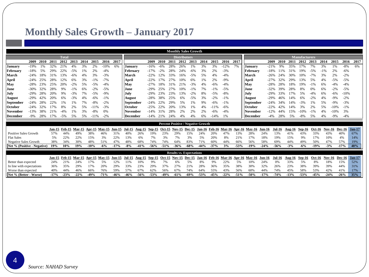#### **Monthly Sales Growth – January 2017**

|                                            |        |      |               |               |               |      |            |               |               |                |           |               |               |      |                     | <b>Monthly Sales Growth</b>     |                                           |               |           |            |                  |            |               |               |                      |               |               |        |               |               |
|--------------------------------------------|--------|------|---------------|---------------|---------------|------|------------|---------------|---------------|----------------|-----------|---------------|---------------|------|---------------------|---------------------------------|-------------------------------------------|---------------|-----------|------------|------------------|------------|---------------|---------------|----------------------|---------------|---------------|--------|---------------|---------------|
|                                            |        |      |               | <b>Total</b>  |               |      |            |               |               |                |           |               |               |      | <b>Distributors</b> |                                 |                                           |               |           |            |                  |            |               |               | <b>Manufacturers</b> |               |               |        |               |               |
|                                            | 2009   | 2010 | 2011          | 2012          | 2013          | 2014 | 2015       | 2016          | 2017          |                |           | 2009          | 2010          | 2011 | 2012                | 2013                            | 2014                                      | 2015          | 2016      | 2017       |                  |            | 2009<br>2010  | 2011          | 2012                 | 2013          | 2014          | 2015   | 2016          | 2017          |
| January                                    | $-19%$ | 1%   | 32%           | 21%           | 4%            | 3%   | 2%         | $-10%$        | 6%            | Januarv        |           | $-16%$        | $-6%$         | 28%  | 26%                 | 1%                              | 3%                                        | 3%            | $-12%$    | 7%         | January          |            | $-21%$<br>9%  | 35%           | 17%                  | 7%            | 3%            | 1%     | $-8%$         | 6%            |
| February                                   | $-18%$ | 5%   | 29%           |               | $-5%$         |      | 2%         | $-4%$         |               | February       |           | $-17%$        |               | 28%  | 24%                 |                                 | 3%                                        | 2%            | $-3%$     |            | February         |            | $-18%$        | 31%           | 19%                  | $-5%$         | $-1%$         | 2%     | $-6%$         |               |
| March                                      | $-24%$ | 18%  | 31%           | 13%           | $-6%$         | 4%   | 3%         | $-3%$         |               | <b>March</b>   |           | $-22%$        | 12%           | 33%  | 16%                 | $-5%$                           | 5%                                        | 4%            | $-4%$     |            | March            |            | $-26%$<br>24% | 30%           | 10%                  | $-7%$         | 3%            | 2%     | $-2%$         |               |
| April                                      | $-24%$ | 25%  | 28%           |               | 6%            | 3%   | $-1%$      | $-7%$         |               | April          |           | $-22%$        | 17%           | 27%  |                     |                                 | 1%                                        | 2%            | $-9%$     |            | April            |            | $-27%$<br>32% | 29%           | 13%                  | 5%            | 4%            | $-5%$  | $-5%$         |               |
| May                                        | $-28%$ | 23%  | 25%           |               |               |      | $-5%$      | $-4%$         |               | <b>May</b>     |           | $-27%$        | 18%           | 31%  | 21%                 | $-3%$                           | 4%                                        | $-6%$         | $-4%$     |            | May              |            | $-28%$<br>28% | 18%           | 19%                  | $-1%$         | 6%            | $-4%$  | $-4%$         |               |
| June                                       | $-30%$ | 32%  | 28%           | 9%            | $-1\%$        | 6%   | $-2%$      | $-5%$         |               | <b>June</b>    |           | $-29%$        | 25%           | 27%  | 10%                 | $-1%$                           | 7%                                        | $-1\%$        | $-5%$     |            | .Tune            |            | $-32%$<br>39% | 28%           |                      | 0%            | 6%            | $-2%$  | $-5%$         |               |
| July                                       | $-29%$ | 28%  | 20%           |               | $-3%$         | 7%   | $-5%$      | $-9%$         |               | .Julv          |           | $-29%$        | 23%           | 23%  | 13%                 | $-2%$                           | 8%                                        | $-5%$         | $-8%$     |            | .Tulv            |            | $-29%$<br>33% | 17%           | 5%                   | $-4%$         | 6%            | $-6%$  | $-10%$        |               |
| August                                     | $-29%$ | 42%  |               | 6%            | $-3%$         |      | -6%        | $-1%$         |               | <b>August</b>  |           | $-28%$        | 38%           | 25%  | 6%                  |                                 | 3%                                        | 2%            | $-1%$     |            | August           |            | $-29%$<br>46% | 14%           |                      | $-2%$         | 4%            | $-9%$  | $-2%$         |               |
| <b>September</b>                           | $-24%$ | 28%  | 22%           | 1%            | 1%            | 7%   | $-8%$      | $-2%$         |               | September      |           | $-24%$        |               | 29%  | 5%                  | 1%                              | 9%                                        | $-6%$         | $-1%$     |            | <b>September</b> |            | $-24%$<br>34% | 14%           |                      | 1%            | 5%            | $-9%$  | $-3%$         |               |
| October                                    | $-24%$ | 32%  |               | 8%            | 2%            | 5%   | $-11%$     | $-3%$         |               | <b>October</b> |           | $-2.5%$       | 22%           | 20%  | 13%                 | $\frac{0}{6}$                   | 4%                                        |               | $-6%$     |            | October          |            | $-22%$<br>42% | 14%           | 3%                   | 2%            | 5%            | $-10%$ | $-1%$         |               |
| November                                   | $-13%$ | 38%  | 21%           |               | 1%            | 3%   | $-8%$      | 0%            |               | November       |           | $-14%$        | 31%           | 28%  | 2%                  | 2%                              | 2%                                        |               | $-4%$     |            | November         |            | $-12%$        | 15%           | $-10%$               | $-1\%$        | 4%            | $-10%$ | 3%            |               |
| <b>December</b>                            | $-9%$  | 28%  | 17%           | $-5%$         | 5%            | 5%   | $-11%$     | $-2%$         |               | December       |           | $-14%$        | 21%           | 24%  | 4%                  | 4%                              | 6%                                        | $-14%$        | 1%        |            | <b>December</b>  | $-4%$      | 28%           | 5%            | $-8%$                | 5%            | 4%            | $-9%$  | $-4%$         |               |
|                                            |        |      |               |               |               |      |            |               |               |                |           |               |               |      |                     |                                 | <b>Percent Positive / Negative Growth</b> |               |           |            |                  |            |               |               |                      |               |               |        |               |               |
|                                            |        |      |               |               |               |      |            |               |               |                |           |               |               |      |                     |                                 |                                           |               |           |            |                  |            |               |               |                      |               |               |        |               |               |
|                                            |        |      | <b>Jan-15</b> | <b>Feb-15</b> | <b>Mar-15</b> |      | Apr 15     | <b>May 15</b> | <b>Jun-15</b> | Jul-15         | Aug-15    | Sep 15        | <b>Oct-15</b> |      | <b>Nov-15</b>       | Dec-15                          | <b>Jan-16</b>                             | Feb 16 Mar 16 |           |            | Apr-16 May-16    | Jun-16     | <b>Jul-16</b> | <b>Aug-16</b> | Sep 16               | <b>Oct-16</b> | <b>Nov-16</b> |        | <b>Dec-16</b> | <b>Jan-17</b> |
| Positive Sales Growth<br><b>Flat Sales</b> |        |      | 57%<br>5%     | 44%<br>22%    | 49%<br>22%    |      | 38%<br>15% | 46%<br>3%     | 31%<br>22%    | 40%<br>13%     | 26%<br>6% | 19%<br>7%     | 23%<br>3%     |      | 29%<br>7%           | 15%<br>3%                       | 24%<br>5%                                 | 20%<br>20%    | 47%<br>8% | 13%<br>21% | 28%<br>17%       | 24%<br>18% | 13%<br>19%    | 41%<br>15%    | 43%<br>9%            | 33%<br>17%    | 43%<br>10%    |        | 40%<br>4%     | 67%<br>14%    |
| Negative Sales Growth                      |        |      | 38%           | 34%           | 30%           |      | 48%        | 51%           | 47%           | 48%            | 68%       | 74%           | 74%           |      | 64%                 | 83%                             | 71%                                       | 60%           | 44%       | 66%        | 56%              | 58%        | 69%           | 44%           | 49%                  | 50%           | 47%           |        | 57%           | 19%           |
| Net % (Positive - Negative)                |        |      | 19%           | 10%           | 19%           |      | $-10%$     | $-6%$         | $-17%$        | $-8%$          | $-41%$    | $-56%$        | $-51%$        |      | $-36%$              | $-68%$                          | $-44%$                                    | $-37%$        | 3%        | $-53%$     | $-19%$           | $-24%$     | $-56%$        | $-3%$         | $-6%$                | $-19%$        | $-3%$         |        | $-17%$        | 48%           |
|                                            |        |      |               |               |               |      |            |               |               |                |           |               |               |      |                     |                                 |                                           |               |           |            |                  |            |               |               |                      |               |               |        |               |               |
|                                            |        |      |               |               |               |      |            |               |               |                |           |               |               |      |                     | <b>Results vs. Expectations</b> |                                           |               |           |            |                  |            |               |               |                      |               |               |        |               |               |
|                                            |        |      | Jan-15        | Feb 15        | <b>Mar 15</b> |      | Apr $-15$  | <b>May 15</b> | <b>Jun 15</b> | <b>Jul-15</b>  | Aug-15    | <b>Sep-15</b> | <b>Oct-15</b> |      | <b>Nov-15</b>       | <b>Dec-15</b>                   | Jan-16                                    | Feb-16 Mar-16 |           |            | Apr-16 May-16    | Jun-16     | <b>Jul-16</b> | Aug-16        | Sep-16               | <b>Oct-16</b> | Nov-16        |        | <b>Dec-16</b> | <b>Jan-17</b> |
| Better than expected                       |        |      | 24%           | 21%           | 24%           |      | 17%        | 5%            | 12%           | 11%            | 10%       | 9%            | 7%            |      | 6%                  | 5%                              | 8%                                        | 9%            | 22%       | 5%         | 10%              | 24%        | 0%            | 33%           | 5%                   | 8%            | 18%           |        | 15%           | 52%           |
| In line with expectations                  |        |      | 36%           | 35%           | 29%           |      | 17%        | 20%           | 29%           | 33%            | 23%       | 29%           | 37%           |      | 27%                 | 21%                             | 28%                                       | 36%           | 35%       | 38%        | 30%              | 32%        | 26%           | 23%           | 38%                  | 39%           | 39%           |        | 44%           | 31%           |
| Worse than expected                        |        |      | 40%           | 44%           | 46%           |      | 66%        | 76%           | 59%           | 57%            | 67%       | 62%           | 56%           |      | 67%                 | 74%                             | 64%                                       | 55%           | 43%       | 56%        | 60%              | 44%        | 74%           | 45%           | 58%                  | 53%           | 42%           |        | 41%           | 17%           |
| Net % (Better - Worse)                     |        |      | $-17%$        | $-23%$        | $-22%$        |      | $-49%$     | $-71%$        | $-46%$        | $-46%$         | $-56%$    | $-53%$        | $-49%$        |      | $-61%$              | $-69%$                          | $-53%$                                    | $-45%$        | $-22%$    | $-51%$     | $-50%$           | $-17%$     | $-74%$        | $-13%$        | $-53%$               | $-45%$        | $-24%$        |        | $-26%$        | 35%           |

4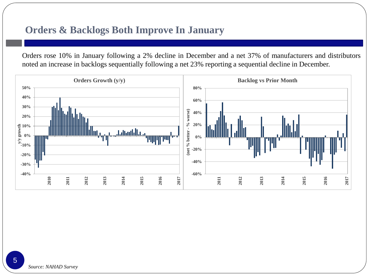#### **Orders & Backlogs Both Improve In January**

Orders rose 10% in January following a 2% decline in December and a net 37% of manufacturers and distributors noted an increase in backlogs sequentially following a net 23% reporting a sequential decline in December.

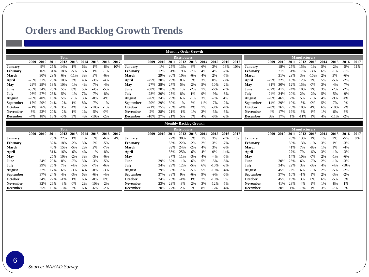### **Orders and Backlog Growth Trends**

|                                    | <b>Monthly Order Growth</b><br><b>Distributors</b> |            |            |                |          |          |                 |                |      |                             |        |            |            |                     |                               |          |                 |                |      |                                    |         |            |           |                      |          |          |                |          |      |
|------------------------------------|----------------------------------------------------|------------|------------|----------------|----------|----------|-----------------|----------------|------|-----------------------------|--------|------------|------------|---------------------|-------------------------------|----------|-----------------|----------------|------|------------------------------------|---------|------------|-----------|----------------------|----------|----------|----------------|----------|------|
|                                    |                                                    |            |            | <b>Total</b>   |          |          |                 |                |      |                             |        |            |            |                     |                               |          |                 |                |      |                                    |         |            |           | <b>Manufacturers</b> |          |          |                |          |      |
|                                    | 2009                                               | 2010       | 2011       | 2012           | 2013     | 2014     | 2015            | 2016           | 2017 |                             | 2009   | 2010       | 2011       | 2012                | 2013                          | 2014     | 2015            | 2016           | 2017 |                                    | 2009    | 2010       |           | 2011 2012            | 2013     | 2014     | 2015           | 2016     | 2017 |
| <b>January</b>                     |                                                    | 9%         | 25%        | 14%            | 1%       | 6%       | 1%              | $-8%$          | 10%  | <b>January</b>              |        | 1%         | 25%        | 13%                 | 3%                            | 6%       | 3%              | $-13%$         | 10%  | <b>January</b>                     |         | 18%        | 25%       | 15%                  | $-1%$    | 5%       | $-2%$          | $-5%$    | 11%  |
| February                           |                                                    | 16%        | 31%        | 18%            | $-5%$    | 5%       | 1%              | $-1%$          |      | February                    |        | 12%        | 31%        | 19%                 | $-7%$                         | 4%       | 4%              | $-2%$          |      | February                           |         | 21%        | 31%       | .7%                  | $-3%$    | 6%       | $-1%$          | $-1%$    |      |
| <b>March</b>                       |                                                    | 30%        | 29%        | 6%             | $-11%$   | 3%       | 3%              | $-6%$          |      | March                       |        | 29%        | 30%        | 10%                 | $-6%$                         | 4%       | 2%              | $-7%$          |      | <b>March</b>                       |         | 31%        | 29%       | 3%                   | $-15%$   | 2%       | 3%             | $-6%$    |      |
| April                              | $-25%$                                             | 31%        | 23%        | 10%            | 3%       | 4%       | $-3%$           | $-4%$          |      | April                       | $-25%$ | 30%        | 29%        | 8%                  | 5%                            | 3%       | 0%              | $-6%$          |      | April                              | $-2.5%$ | 32%        | 18%       | 2%                   | 2%       | 5%       | $-5%$          | $-2%$    |      |
| May                                | $-29%$                                             | 29%        | 19%        | 10%            |          | 4%       | $-7%$           | $-4%$          |      | May                         | $-27%$ | 28%        |            | 5%                  | $-2%$                         | 5%       |                 | $-2%$          |      | May                                | $-31%$  | 30%        | 12%       | 1.5%                 | 0%       | 3%       | $-4%$          | $-7%$    |      |
| June                               | $-33%$                                             | 34%        | 28%        | .5%            | 0%       | 5%       | $-4%$           | $-5%$          |      | .Iune                       | $-30%$ | 28%        | 33%        | 1%                  | $-2%$                         | 7%       | $-6%$           | $-7%$          |      | June.                              | $-37%$  | 41%        | 24%       | 10%                  | 2%       | 3%       | $-2%$          | $-2%$    |      |
| July                               | $-26%$                                             | 27%        | 23%        | 5%             | $-1%$    | 7%       | $-7%$           | $-8%$          |      | July                        | $-28%$ | 20%        | 25%        | 8%                  | 1%                            | 9%       | $-9%$           | $-8%$          |      | .Julv                              | $-24%$  | 34%        | 20%       | 2%                   | $-2%$    | 5%       | $-5%$          | $-9%$    |      |
| <b>August</b>                      | $-26%$                                             | 40%        | 18%        | .5%            | $-1%$    | 3%       | $-8%$           | 4%             |      | <b>August</b>               | $-26%$ | 34%        | 29%        | 6%                  | $-1%$                         | 3%       | $-7%$           | 4%             |      | <b>August</b>                      | $-26%$  | 46%        | 7%        | 5%                   | $-1%$    | 4%       | $-9%$          | 4%       |      |
| <b>September</b>                   | $-17%$                                             | 29%        | 24%        | $-2%$          | 1%       | 8%       | $-7%$           | $-1%$          |      | <b>September</b>            | $-20%$ | 29%        | 30%        | 1%                  | 3%                            | 11%      | $-7%$           | $-2%$          |      | <b>September</b>                   | $-14%$  | 29%        | 19%       | $-5%$                | 0%       | 5%       | $-7%$          | 0%       |      |
| October                            | $-21%$                                             | 26%        | 25%        | 3%             | 4%       | 7%       | $-10%$          | $-1%$          |      | October                     | $-21%$ | 25%        | 25%        |                     | 4%                            | 7%       | $-9%$           | $-4%$          |      | <b>October</b>                     | $-20%$  | 26%        | 23%       | 10%                  | 4%       | 6%       | $-10%$         | 2%       |      |
| <b>November</b>                    | $-3%$                                              | 23%        | 20%        | $-2%$          | 1%       | 1%       | $-5%$           | 0%             |      | November                    | $-2%$  | 28%        | 21%        |                     | $-1%$                         | 2%       |                 | $-3%$          |      | <b>November</b>                    | $-4%$   | 17%        | 19%       | $-3%$                | 4%       | 1%       | $-6%$          | 3%       |      |
| December                           | $-4%$                                              | 18%        | 18%        | $-6%$          | 3%       | 4%       | $-10%$          | $-2%$          |      | <b>December</b>             | $-10%$ | 27%        | 21%        | 5%                  | 5%                            | 4%       | $-8%$           | $-2%$          |      | <b>December</b>                    | 3%      | 17%        | 1%        | $-11%$               | 1%       | 4%       | $-11%$         | $-2%$    |      |
|                                    |                                                    |            |            |                |          |          |                 |                |      |                             |        |            |            |                     |                               |          |                 |                |      |                                    |         |            |           |                      |          |          |                |          |      |
|                                    |                                                    |            |            |                |          |          |                 |                |      |                             |        |            |            |                     | <b>Monthly Backlog Growth</b> |          |                 |                |      |                                    |         |            |           |                      |          |          |                |          |      |
|                                    |                                                    |            |            | <b>Total</b>   |          |          |                 |                |      |                             |        |            |            | <b>Distributors</b> |                               |          |                 |                |      |                                    |         |            |           | <b>Manufacturers</b> |          |          |                |          |      |
|                                    | 2009                                               | 2010       | 2011       | 2012           | 2013     | 2014     | 2015            | 2016           | 2017 |                             | 2009   | 2010       | 2011       | 2012                | 2013                          | 2014     | 2015            | 2016           | 2017 |                                    | 2009    | 2010       | 2011      | 2012                 | 2013     | 2014     | 2015           | 2016     | 2017 |
| <b>January</b>                     |                                                    |            | 25%        | 22%            | 1%       | 1%       | 3%              | $-6%$          | 4%   | <b>January</b>              |        |            | 22%        | 30%                 | 0%                            | 1%       | 3%              | $-7%$          | 1%   | <b>January</b>                     |         |            | 28%       | 13%                  | 1%       | 1%       | 2%             | $-5%$    | 8%   |
| February                           |                                                    |            | 32%        | 18%            | $-2%$    | 3%       | 2%              | $-5%$          |      | February                    |        |            | 35%        |                     | $-2%$                         | 2%       | 3%              | $-7%$          |      | February                           |         |            | 30%       | 3%                   | $-1%$    | 3%       | 1%             | $-3%$    |      |
| March                              |                                                    |            | 40%        | 5%             | $-5%$    | 2%       | 2%              | $-7%$          |      | March                       |        |            | 39%        | 24%                 | $-2%$                         | 4%       | 3%              | $-9%$          |      | March                              |         |            | 41%       | 7%                   | $-8%$    | 1%       | 1%             | $-4%$    |      |
| <b>April</b>                       |                                                    |            | 31%        | 6%             | $-6%$    | 4%       | $-1\%$          | $-8%$          |      | April                       |        |            | 36%        | 25%                 | $-6%$                         | 4%       | 0%              | $-14%$         |      | April                              |         |            | 27%       | 7%                   | $-6%$    | 3%       | $-1%$          | $-3%$    |      |
| May                                |                                                    |            | 25%        | 10%            | $-2%$    | 3%       | $-3%$           | $-6%$          |      | May                         |        |            | 37%        | 11%                 | $-3%$                         | 4%       | $-4%$           | $-5%$          |      | May                                |         |            | 14%       | 10%                  | 0%       | 2%       | $-1%$          | $-6%$    |      |
| June                               |                                                    | 24%        | 29%        | 8%             | $-7%$    | 3%       | $-3%$           | $-5%$          |      | l.Iune                      |        | 29%        | 32%        | 11%                 | $-6%$                         | 5%       | $-5%$           | $-8%$          |      | <b>June</b>                        |         | 20%        | 25%       | 6%                   | $-7%$    | 2%       | $-1%$          | $-3%$    |      |
| July                               |                                                    | 29%        | 25%        | 7%             | $-4%$    | 5%       | $-7%$           | $-6%$          |      | July                        |        | 24%        | 29%        | 12%                 | $-5%$                         | 6%       |                 | $-2%$          |      | July                               |         | 34%        |           | 3%                   | $-3%$    | 4%       | $-4%$          | $-10%$   |      |
| August                             |                                                    | 37%        |            | 6%             | $-3%$    | 4%       | $-8%$           | $-3%$          |      | <b>August</b>               |        | 29%        | 36%        | 7%                  | $-5%$                         | 5%       |                 | $-4%$          |      | <b>August</b>                      |         | 45%        | $-1%$     | 6%                   | $-1%$    | 2%       | $-5%$          | $-2%$    |      |
| <b>September</b>                   |                                                    | 37%        | 24%        |                | $-3%$    | 6%       |                 | $-4%$          |      | September                   |        | 37%        | 33%        | 9%                  | $-6%$                         | 9%       | $-9%$           | $-6%$          |      | <b>September</b>                   |         | 37%        | 16%       | $-1\%$               | 1%       | 2%       | $-3%$          | $-2%$    |      |
| October                            |                                                    | 34%        |            | $-1\%$         | 1%       | 6%       | $-8%$           | 0%             |      | October                     |        | 24%        | 26%        | $-4%$               | 1%                            | 7%       |                 | 1%             |      | <b>October</b>                     |         | 45%        | 19%       | 3%                   | 0%       | 6%       | $-5%$          | 0%       |      |
| <b>November</b><br><b>December</b> |                                                    | 32%<br>25% | 26%<br>19% | $-3%$<br>$-3%$ | 0%<br>2% | 2%<br>6% | $-10%$<br>$-6%$ | $-2%$<br>$-2%$ |      | <b>November</b><br>December |        | 23%<br>20% | 29%<br>27% | $-3%$<br>2%         | $-2%$<br>2%                   | 3%<br>8% | $-12%$<br>$-5%$ | $-5%$<br>$-4%$ |      | <b>November</b><br><b>December</b> |         | 41%<br>30% | 23%<br>1% | $-4%$<br>-6%         | 1%<br>1% | 1%<br>3% | $-8%$<br>$-7%$ | 1%<br>0% |      |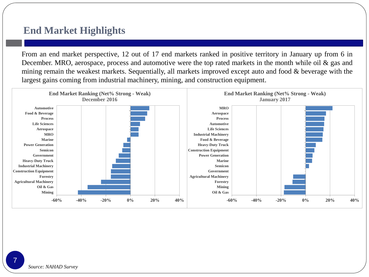#### **End Market Highlights**

From an end market perspective, 12 out of 17 end markets ranked in positive territory in January up from 6 in December. MRO, aerospace, process and automotive were the top rated markets in the month while oil & gas and mining remain the weakest markets. Sequentially, all markets improved except auto and food & beverage with the largest gains coming from industrial machinery, mining, and construction equipment.

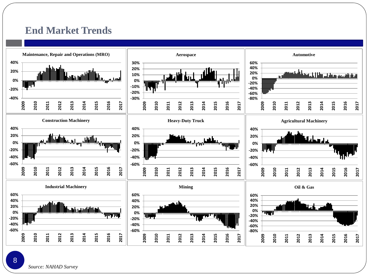#### **End Market Trends**



*Source: NAHAD Survey*

#### 8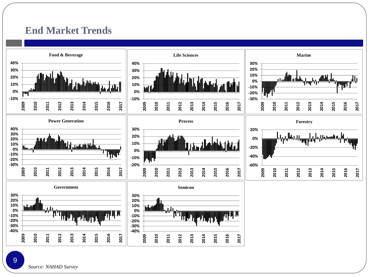#### **End Market Trends**

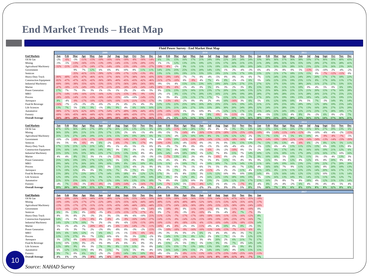#### **End Market Trends – Heat Map**

**Fluid Power Survey - End Market Heat Map**

| <b>End Markets</b>                 | Jan    | Feb    | Mar            | Apr     | May    | Jun     | Jul    | Aug    | <b>Sept</b> | Oct    | Nov    | Dec    | Jan    | Feb    | Mar    | Apr    | May                       | Jun    | Jul    | Aug    | Sept          | Oct        | <b>Nov</b><br>Dec | <u>Jan</u> | Feb    | Mar | Apr    | May    | Jun    | Jul    | Aug    | <b>Sept</b> | Oct    | <b>Nov</b> |
|------------------------------------|--------|--------|----------------|---------|--------|---------|--------|--------|-------------|--------|--------|--------|--------|--------|--------|--------|---------------------------|--------|--------|--------|---------------|------------|-------------------|------------|--------|-----|--------|--------|--------|--------|--------|-------------|--------|------------|
| Oil & Gas                          | $-2%$  | $-6%$  | $-3%$          | $-11%$  | $-15%$ | $-10%$  | $-16%$ | $-16%$ | $-18%$      | $-8%$  | $-16%$ | $-149$ | 6%     | 5%     | 15%    | 16%    | 17%                       | 21%    | 24%    | 19%    | 22%           | 24%        | 24%<br>24%        | 33%        | 38%    | 36% | 37%    | 36%    | 38%    | 33%    | 37%    | 36%         | 39%    | 40%        |
| Mining                             | $-5%$  | $-5%$  | $-13%$         | $-16%$  | $-15%$ | $-13%$  | $-19%$ | $-14%$ | $-15%$      | $-13%$ | $-20%$ | $-139$ | 1%     | 1%     | 12%    | 13%    | 23%                       | 19%    | 22%    | 15%    | 17%           | 26%        | 21%<br>239        | 21%        | 29%    | 29% | 31%    | 32%    | 35%    | 33%    | 29%    | 27%         | 35%    | 28%        |
| <b>Agricultural Machinery</b>      | $-32%$ | $-21%$ | $-23%$         | $-17%$  | $-24%$ | $-17%$  | $-14%$ | $-19%$ | $-23%$      | $-19%$ | $-19%$ | $-279$ | 19%    | $-8%$  | $-2%$  | 9%     | 11%                       | 11%    |        | 19%    | 15%           | 16%        | 18%<br>209        | 24%        | 27%    | 33% | 33%    | 28%    | 31%    | 23%    | 22%    | 23%         | 26%    | 23%        |
| Government                         |        |        | 9%             | 7%      | 12%    | 6%      | 6%     | 8%     | 10%         | 8%     | 11%    | 11%    | 14%    | 23%    | 25%    | 25%    | 15%                       |        | 14%    |        | 1%            | 2%         | $-4%$<br>$-3%$    | 6%         | $-4%$  | 2%  |        | 0%     | 5%     | $-13%$ | $-5%$  | $-10%$      | 2%     | $-4%$      |
| Semicon                            |        |        | $-35%$         | $-41%$  | $-31%$ | 39%     | $-32%$ | $-19%$ | $-17%$      | -12%   | $-13%$ | $-99$  | 13%    | 11%    | 19%    | 19%    |                           | 33%    | 339    | 19%    |               |            |                   | 23%        | 22%    | 21% |        | 18%    | 21%    | 15%    | 0%     | $-7%$       | $-12%$ | $-11%$     |
| Heavy-Duty Truck                   | 80%    | $-40%$ | $-45%$         | $-47%$  | $-46%$ | $-41%$  | $-37%$ | $-36%$ | $-37%$      | $-38%$ | $-36%$ | $-439$ | 35%    | $-29%$ | $-14%$ | $-7%$  | $-7%$                     | ΩW     | $-4%$  | $-5%$  | 0%            | 0%         | 3%<br>6%          | 7%         | 11%    | 24% | 23%    | 22%    | 24%    | 20%    | 20%    | 17%         | 17%    | 18%        |
| <b>Construction Equipment</b>      | 82%    | $-47%$ | $-47%$         | $-42%$  | $-42%$ | 36%     | -38%   | $-40%$ | $-45%$      | $-43%$ | $-42%$ | $-469$ | $-31%$ | $-27%$ | $-10%$ | 0%     | .9%                       | 4%     | 7%     | 4%     | 8%            | $-2%$      | $-3%$<br>6%       | 5%         | 14%    | 22% | 25%    | 19%    | 25%    | 11%    | 8%     | 17%         | 10%    | 11%        |
| <b>Industrial Machinery</b>        | $-69%$ | $-39%$ | -38%           | $-35%$  | $-42%$ | -33%    | -35%   | $-37%$ | -36%        | $-28%$ | $-26%$ | $-309$ | $-9%$  | $-5%$  | 4%     | 15%    | 15%                       |        | 16%    |        | 26%           | 22%        | 25%<br>27%        | 27%        | 32%    | 37% | 33%    | 33%    | 38%    | 26%    | 31%    | 279         | 27%    | 33%        |
| Marine                             | 47%    | $-18%$ | $-11%$         | $-2.49$ | .19%   | $-2.7%$ |        | $-20%$ | 18%         | $-14%$ | $-24%$ | $-149$ | 18%    | $-9%$  | $-6%$  | $-1%$  | 4%                        | 0%     | 5%     | 0%     | 3%            | 2%         | 3%<br>8%          | 15%        | 16%    |     |        |        | -10%   | 0%     | 4%     | 5%          | 0%     |            |
|                                    |        |        |                |         |        |         |        |        |             |        |        |        |        |        |        |        |                           |        |        |        |               |            |                   |            |        | 30% |        |        |        |        |        |             |        | 6%         |
| Power Generation                   | 17%    | 7%     | 7%             | 3%      | 3%     | 1%      | 1%     | 1%     | 2%          | 2%     | -6%    | 5%     | 9%     | 15%    | 23%    | 22%    |                           | 21%    | 23%    | 17%    | 20%           | 23%        | 15%<br>14%        | 22%        | 25%    |     | 26%    | 229    | 22%    | 21%    |        | 15%         | 17%    | 16%        |
| <b>MRO</b>                         | $-27%$ | $-14%$ | $-14%$         | $-16%$  | $-21%$ | $-16%$  | $-12%$ | $-12%$ | $-15%$      | $-9%$  | $-9%$  | $-139$ | $-2%$  | $-1%$  | 9%     | 15%    | 17%                       | 20%    | 13%    | 16%    | 21%           | 20%        | 28%<br>19%        | 28%        | 27%    | 34% | 28%    | 25%    | 31%    | 28%    | 26%    | 21%         | 27%    | 25%        |
| Process                            | 28%    | $-16%$ | $-14%$         | $-11%$  | $-13%$ | $-16%$  | $-14%$ | $-15%$ | -10%        | $-10%$ | $-14%$ | $-119$ | 2%     | 3%     | 8%     | 15%    |                           |        | 17%    | 7%     | 15%           | 12%        | 15%<br>16%        | 17%        | 20%    | 22% |        | 19%    | 23%    | 18%    |        | 14%         | 15%    | 19%        |
| Aerospace                          | 8%     | $-4%$  | $-9%$          | $-17%$  | $-10%$ | $-12%$  | 16%    | -10%   | $-11%$      | $-21%$ | -13%   | -179   | -3%    | $-13%$ | $-6%$  | $-2%$  | 0%                        |        | 2%     | $-4%$  | 10%           | $-16%$     | 3%<br>6%          | 5%         | 6%     | 12% |        | 10%    | 3%     | 5%     |        | $-3%$       | 14%    | 9%         |
| Food & Beverage                    | 16%    | $-7%$  | $-2%$          | $-3%$   | $-3%$  | $-6%$   | 2%     | 2%     | 4%          | 2%     | 4%     | 3%     | 12%    | 13%    | 22%    | 25%    | 18%                       | 26%    | 26%    | 25%    | 25%           | 16%        | 24%<br>19%        | 21%        | 21%    | 20% | 25%    | 18%    | 28%    | 19%    | 12%    | 18%         | 19%    | 25%        |
| <b>Life Sciences</b>               | 13%    | 7%     | 5%             | 6%      | 9%     | $-1%$   | 8%     | 9%     | 4%          | 6%     | 16%    | 16%    | 22%    | 23%    | 21%    | 26%    | 27 <sup>°</sup>           | 33%    | 33%    | 28%    | 30%           | -20%       | 24%<br>28%        | 32%        | 24%    | 21% | 28%    | 23%    | 27%    | 13%    |        | 209         | 27%    | 22%        |
| Automotive                         | -98%   | $-57%$ | $-61%$         | $-62%$  | $-60%$ | $-57%$  | $-54%$ | $-47%$ | $-49%$      | $-39%$ | $-44%$ | $-459$ | $-23%$ | $-16%$ | $-11%$ | 1%     | 0%                        | 10%    | 8%     | $-1%$  | 12%           |            | 22%<br>17%        | 25%        | 24%    | 22% | 24%    | 19%    | 22%    | 21%    | 23%    | 17%         | 28%    | 18%        |
| Forestry                           | $-69%$ | $-36%$ | $-45%$         | $-46%$  | $-44%$ | $-42%$  | $-39%$ | $-36%$ | $-40%$      | $-43%$ | $-37%$ | $-339$ | $-25%$ | $-15%$ | $-10%$ | 15%    | 2%                        | 0%     | 8%     | $-6%$  | 3%            | $-11%$     | $-3%$<br>5%       | $-4%$      | $-5%$  | 13% | 13%    | 4%     | 8%     | 3%     | $-2%$  | 6%          | 0%     | $-2%$      |
| <b>Overall Average</b>             | $-34%$ | $-20%$ | $-20%$         | $-22%$  | $-21%$ | $-21%$  | $-19%$ | $-18%$ | $-18%$      | $-16%$ | $-17%$ | $-16%$ | .5%    | $-2%$  | 6%     | 12%    | 11%                       | 15%    | 15%    | 11%    | 15%           | 10%        | 13%<br>16%        | 18%        | 19%    | 23% | 23%    | 20%    | 23%    | 16%    | 15%    | 14%         | 17%    | 16%        |
|                                    |        |        |                |         |        |         |        |        |             |        |        |        |        |        |        |        |                           |        |        |        |               |            |                   |            |        |     |        |        |        |        |        |             |        |            |
| <b>End Markets</b>                 | Jan    | Feb    | Mar            | Apr     | May    | Jun     | Jul    | Aug    | <b>Sept</b> | Oct    | Nov    | Dec    | Jan    | Feb    | Mar    | Apr    | May                       | Jun    | Jul    | Aug    | <b>Sept</b>   | <u>Oct</u> | Nov<br>Dec        | Jan        | Feb    | Mar | Apr    | May    | Jun    | Jul    | Aug    | <b>Sept</b> | Oct    | Nov        |
| Oil & Gas                          | 47%    | 33%    | 36%            | 28%     | 27%    | 28%     | 2.7%   | 269    | 25%         | 13%    | 23%    | 9%     | 10%    | 14%    | $-11%$ | 18%    | 28%                       | 13%    | 4%     | 4%     | 2%            | 9%         | 9%<br>149         | 14%        | 15%    | 16% |        | 16%    | 27%    |        |        | 27%         | 29%    | 23%        |
| Mining                             | 36%    | 33%    | 28%            | 21%     | 21%    | 25%     | 17%    | 13%    | 2%          | 6%     | $-1%$  | $-8%$  | $-9%$  | $-5%$  | 7%     | $-14%$ | $-8%$                     | $-26%$ | $-15%$ | $-25%$ | $-28%$        | $-25%$     | $-25%$<br>$-19$   | 10%        | $-9%$  | 14% |        | $-14%$ | $-12%$ | $-3%$  | $-10%$ | $-4%$       | $-4%$  | $-2%$      |
| <b>Agricultural Machinery</b>      | 35%    | 31%    | 27%            | 24%     | 29%    | 21%     | 21%    | 15%    | 10%         | 19%    | 20%    | 6%     | 9%     | 13%    | $-4%$  | 22%    |                           |        | 8%     | 5%     | 13%           | 12%        | 12%<br>2%         | 5%         | 7%     | 15% | -1%    | 5%     | 6%     |        | 4%     | $-9%$       | $-8%$  | $-7%$      |
| Government                         | $-10%$ | $-2%$  | $-189$         | $-11%$  | $-17%$ | 10%     | 19%    | $-19%$ | $-14%$      | $-17%$ | $-14%$ | $-7%$  | $-8%$  | -19%   | 20%    | $-21%$ | $-24%$                    | $-29%$ | $-14%$ | $-13%$ | $-12%$        | $-18%$     | $-8%$<br>$-16%$   | $-20%$     | $-14%$ | 19% | $-20%$ | $-22%$ | $-19%$ | $-14%$ | $-24%$ | $-13%$      | $-14%$ | $-23%$     |
| Semicon                            | 0%     | 5%     | 0%             | -6%     | 0%     | 6%      | $-2%$  | $-6%$  | $-7%$       | 6%     | $-17%$ | 0%     | 10%    | $-13%$ | 15%    | $-4%$  | $-11%$                    | -0%    | $-3%$  | 3%     | 0%            | 6%         | 15%<br>13%        | 7%         | 13%    | 9%  |        | $-4%$  | $-6%$  | 6%     | $-2%$  | 8%          | 12%    | 5%         |
|                                    |        |        |                |         |        |         | 8%     |        |             |        |        |        |        |        |        |        |                           | .9%    |        |        |               |            |                   |            |        |     |        |        |        |        |        |             |        |            |
| Heavy-Duty Truck                   | 17%    | 11%    | 2.1%           | 12%     | 21%    | 14%     |        | 1%     | 4%          | 5%     | 1%     | 6%     | 0%     | $-3%$  | 7%     | 8%     | 0%                        |        | $-1%$  | 3%     | $-6%$         | $-4%$      | $-6%$<br>2%       | $-5%$      | 13%    | 6%  | 4%     |        | 11%    | 15%    | 13%    | 6%          | 19%    | 13%        |
| <b>Construction Equipment</b>      | 23%    | 16%    | 14%            | 14%     | 18%    | 14%     |        | 3%     | 8%          | 2%     | 1%     | $-2%$  | 8%     | 5%     | 4%     | 10%    | 0%                        | -5%    | $-6%$  | $-3%$  | $-2%$         | -10%       | 5%<br>0%          | 2%         | 14%    | 8%  | 17%    | 14%    | 8%     | 16%    |        | 19%         | 21%    | 12%        |
| <b>Industrial Machinery</b>        | 35%    | 33%    | 33%            | 33%     | 309    | 229     |        | 21%    | 13%         |        | 8%     | 8%     | 16%    | 14%    | $-10%$ | 18%    |                           | 1%     | 12%    | 7%     | 8%            | 15%        | 7%<br>14%         | 10%        | 12%    | 15% |        |        |        | 209    |        |             | 17%    | 10%        |
| Marine                             | 4%     | 4%     | 8 <sup>0</sup> | 5%      | 3%     | 1%      | $-2%$  | $-7%$  | 5%          | $-4%$  | $-2%$  | $-3%$  | $-5%$  | $-7%$  | 13%    | 6%     | 2%                        | .4%    | 3%     | $-6%$  | 0%            | $-2%$      | 4%<br>7%          | 9%         | 10%    |     | 5%     | 109    |        |        | 3%     | $-3%$       | 4%     | 13%        |
| Power Generation                   | 25%    | 16%    | 19%            | 19%     | 17%    | 12%     | 12%    | 5%     | 15%         | 2%     | 9%     | 14%    | $-5%$  | 4%     | 6%     | 8%     | 4%                        | 7%     | 5%     | 8%     | 11%           | 5%         | 4%<br>9%          | 9%         | 11%    | 9%  | 3%     | 12%    | 8%     | 12%    | 6%     | 8%          | 20%    | 9%         |
| <b>MRO</b>                         | 29%    | 34%    | 27%            | 2.6%    | 26%    | 19%     | 10%    |        | 8%          | 6%     | 10%    | 8%     | 11%    | 11%    | $-2%$  | 10%    | 7%                        | 1%     | 10%    | 10%    | 7%            | 11%        | 14%<br>13%        | 11%        | 18%    | 14% |        | 16%    | 23%    | 23%    |        | 22%         | 27%    | 20%        |
| Process                            | 17%    | 21%    | 21%            | 20%     | 189    | 15%     | 3%     | 11%    |             | $-6%$  | 2%     | 9%     | 0%     | 5%     | 6%     | 7%     | 1%                        | 6%     | 5%     | 5%     | 0%            | 4%         | 7%<br>13%         | 4%         | 16%    |     | 7%     | 9%     |        | 12%    |        | 8%          | 20%    | 10%        |
| Aerospace                          | 11%    | 19%    | 12%            | 0%      | 0%     | 9%      |        |        | 3%          | 7%     | 0%     | 7%     | 2%     | 3%     | 7%     | 3%     | $-3%$                     | $-4%$  | $-11%$ | $-2%$  | 2%            | 2%         | 4%<br>11%         | 15%        | 18%    | 8%  | 2.1%   | 11%    | 22%    | 23%    | 14%    | 209         | 16%    | 17%        |
| Food & Beverage                    | 23%    | 28%    | 27%            | 23%     | 20%    | 17%     | 14%    |        | 18%         | 8%     | 12%    | 12%    | 17%    | 3%     | 6%     | 8%     | 13%                       | 3%     | 11%    | 12%    | 10%           | 9%         | 10%<br>19%        | 14%        | 8%     | 12% |        | 14%    | 12%    | 15%    | 12%    | 10%         | 13%    | 11%        |
| <b>Life Sciences</b>               | 12%    | 19%    | 25%            | 13%     | 17%    | 9%      | 12%    | 13%    | 26%         | 14%    | 19%    | 199    | 18%    | 8%     | 0%     | 12%    | 8%                        | 2%     | 16%    | 22%    | 13%           | 18%        | 19%<br>19%        | 5%         | 13%    | 16% |        | 10%    | 9%     | 14%    | 15%    | 11%         | 10%    | 12%        |
| Automotive                         | 22%    | 35%    | 25%            | 16%     | 31%    | 17%     | 12%    |        | 16%         | 13%    | 15%    | 18%    | 7%     | 8%     | 0%     | 22%    | 10%                       | 3%     | 23%    | 2%     | 23%           | 12%        | 23%<br>179        | 15%        | 16%    | 2%  | 8%     | 7%     | 8%     | 18%    | 4%     | 12%         | 21%    | 13%        |
|                                    |        |        |                |         |        |         |        |        |             |        |        |        |        |        |        |        |                           |        |        |        |               |            |                   |            |        |     |        |        |        |        |        |             |        |            |
| Forestry                           | $-4%$  | 7%     | $-5%$          | $-3%$   | $-8%$  | $-8%$   | $-5%$  | $-10%$ | $-14%$      | $-2%$  | $-16%$ | $-7%$  | 12%    | $-7%$  | 12%    | 5%     | $-5%$                     | $-8%$  | 12%    | 1%     | 4%            | 1%         | $-7%$<br>8%       | $-4%$      | 8%     | 2%  | 4%     | $-2%$  | 6%     | 4%     | 3%     | 4%          | 4%     | 5%         |
| <b>Overall Average</b>             | 19%    | 20%    | 18%            | 14%     | 15%    | 12%     | 9%     | 8%     | 8%          | 5%     | 4%     | 5%     | 4%     | 2%     | 5%     | 7%     | 2%                        | $-2\%$ | 3%     | 2%     | 3%            | 3%         | 5%<br>8%          | 5%         | 10%    | 7%  | 8%     | 6%     | 8%     | 13%    | 8%     | 8%          | 12%    | 8%         |
| <b>End Markets</b>                 | Jan    | Feb    | Mar            | Apr     | May    | Jun     | Jul    | Aug    | <b>Sept</b> | Oct    | Nov    | Dec    | Jan    | Feb    | Mar    | Apr    | May                       | Jun    | Jul    | Aug    | Sept          | Oct        | Nov<br>Dec        | Jan        |        |     |        |        |        |        |        |             |        |            |
| Oil & Gas                          | 24%    | $-29%$ | $-26%$         | $-30%$  | $-44%$ | $-45%$  | $-48%$ | $-52%$ | $-53%$      | $-55%$ | $-54%$ | $-599$ | $-60%$ | $-55%$ | $-58%$ | $-59%$ | $-56%$                    | $-55%$ | $-55%$ | $-54%$ | $-51%$        | $-47%$     | $-42%$<br>$-359$  | $-18%$     |        |     |        |        |        |        |        |             |        |            |
| Mining                             | 10%    | $-19%$ | $-22%$         | $-17%$  | $-27%$ | $-22%$  | $-28%$ | $-32%$ | $-35%$      | $-42%$ | $-44%$ | $-449$ | -49%   | $-51%$ | $-45%$ | $-49%$ | -48%                      | $-52%$ | $-50%$ | $-51%$ | $-53%$        | $-42%$     | $-35%$<br>$-439$  | $-17%$     |        |     |        |        |        |        |        |             |        |            |
|                                    |        |        |                |         |        |         |        |        |             |        |        |        |        |        |        |        | .30%                      |        |        |        |               |            |                   |            |        |     |        |        |        |        |        |             |        |            |
| <b>Agricultural Machinery</b>      | 13%    | $-25%$ | $-17%$         | $-27%$  | $-31%$ | $-21%$  | $-31%$ | $-43%$ | $-34%$      | $-44%$ | $-30%$ | $-449$ | $-35%$ | $-37%$ | $-24%$ | $-36%$ |                           | $-28%$ | $-29%$ | $-33%$ | $-32%$        | $-30%$     | $-20%$<br>$-24%$  | $-10%$     |        |     |        |        |        |        |        |             |        |            |
| Government                         | 11%    | $-16%$ | $-22%$         | $-26%$  | $-29%$ | $-21%$  | $-19%$ | $-20%$ | $-19%$      | $-11%$ | $-6%$  | $-149$ | $-6%$  | $-18%$ | $-9%$  | 0%     | $-11%$                    | -10%   | $-15%$ | 0%     | 0%            | $-11%$     | $-8%$<br>-109     | 0%         |        |     |        |        |        |        |        |             |        |            |
| Semicon                            | 6%     | 3%     | 5%             | 0%      | $-10%$ | $-3%$   | $-8%$  | $-13%$ | $-15%$      | $-17%$ | $-17%$ | $-8%$  | 0%     | $-7%$  | $-9%$  | $-3%$  | -9%                       | $-10%$ | 0%     | 5%     | $-4%$         | $-8%$      | 7%<br>$-7%$       | 3%         |        |     |        |        |        |        |        |             |        |            |
| Heavy-Duty Truck                   | 8%     | 3%     | 8%             | 2%      | $-3%$  | 2%      | 3%     | $-5%$  | $-9%$       | $-6%$  | $-10%$ | $-219$ | $-11%$ | $-12%$ | $-7%$  | $-17%$ | 17%                       |        |        | 16%    | $-11%$        | $-15%$     | $-16%$<br>$-129$  | 8%         |        |     |        |        |        |        |        |             |        |            |
| <b>Construction Equipment</b>      | 14%    | $-1%$  | 3%             | $-5%$   | $-9%$  | 4%      |        | $-4%$  | $-9%$       | $-16%$ | $-14%$ | $-279$ | 14%    | $-11%$ | $-9%$  | $-14%$ | $-12%$                    | $-15%$ | -18%   | $-19%$ | $-20%$        | $-25%$     | $-27%$<br>$-169$  | 7%         |        |     |        |        |        |        |        |             |        |            |
| <b>Industrial Machinery</b>        | 14%    | 12%    | 17%            | 10%     | 7%     | 2%      | $-3%$  | 0%     | $-6%$       | $-13%$ | $-11%$ | $-209$ | 10%    | $-11%$ | $-8%$  | $-18%$ | $-13%$                    | -6%    | -15%   | $-10%$ | $-14%$        | $-13%$     | $-18%$<br>$-159$  | 14%        |        |     |        |        |        |        |        |             |        |            |
| Marine                             | 5%     | 2%     | $-4%$          | 2%      | $-20%$ | $-8%$   | $-4%$  | $-6%$  | $-6%$       | $-14%$ | $-7%$  | -119   | 10%    | $-4%$  | $-8%$  | $-2%$  | 0%                        | $-11%$ | $-4%$  | 4%     | 10%           | 0%         | 8%<br>$-3%$       | 5%         |        |     |        |        |        |        |        |             |        |            |
| <b>Power Generation</b>            | 4%     | 1%     | 3%             | 7%      | 2%     | $-2%$   | 0%     | $-8%$  | 0%          | $-3%$  | $-2%$  | $-159$ | -5%    | 10%    | $-18%$ | $-9%$  | $-16%$                    | $-10%$ | $-12%$ | $-14%$ | $-15%$        | $-7%$      | $-11%$<br>$-6%$   | 6%         |        |     |        |        |        |        |        |             |        |            |
| <b>MRO</b>                         | 16%    | 6%     | 16%            | 12%     | 1%     | 6%      | 6%     | $-1%$  |             | $-5%$  | $-6%$  | $-6%$  | $-3%$  | 3%     | 3%     | 0%     | -2%                       | 6%     | 1%     | 4%     | 4%            | 4%         | 3%<br>7%          | 22%        |        |     |        |        |        |        |        |             |        |            |
|                                    |        |        |                |         |        |         |        |        | 1%          |        |        |        |        |        |        |        |                           |        |        |        |               |            |                   |            |        |     |        |        |        |        |        |             |        |            |
| Process                            | 12%    | 11%    | 17%            | 9%      | 7%     | 13%     | 10%    | 6%     | 3%          | 3%     | 13%    | $-2%$  | 9%     | 14%    | 11%    | 5%     | 8%                        | 12%    | 2%     | 6%     | 7%            | 1%         | 3%<br>12%         | 15%        |        |     |        |        |        |        |        |             |        |            |
|                                    | 3%     | 17%    | 0%             | $-6%$   |        | 3%      | 2%     | $-5%$  | 5%          | $-11%$ | 0%     | $-5%$  | 2%     | $-4%$  | 12%    | $-2%$  | 0%                        | 3%     | 0%     | 20%    | 2%            | 6%         | 21%<br>7%         | 17%        |        |     |        |        |        |        |        |             |        |            |
| Aerospace                          | 11%    | 10%    | 13%            | 9%      | $-3%$  | 5%      | 8%     | 4%     | 6%          | 4%     | 0%     | 3%     | 4%     | 15%    | $-2%$  | 5%     | 9%                        | 5%     | 11%    | 9%     | 3%            | 7%         | 0%<br>14%         | 14%        |        |     |        |        |        |        |        |             |        |            |
|                                    | 12%    |        | 9%             | 0%      | 3%     | 7%      | 9%     |        | 11%         |        | 3%     | 0%     | 14%    | 15%    | 15%    | 7%     | 13%                       |        | 13%    | 19%    | 14%           | 0%         | 9%<br>8%          | 15%        |        |     |        |        |        |        |        |             |        |            |
| Food & Beverage<br>Life Sciences   |        |        |                | 11%     | 0%     | $8\%$   | 13%    | 7%     | 11%         | 5%     | 9%     | 4%     | 10%    | 16%    | 14%    | 20%    | 15%                       | 2%     | 14%    | 19%    | 14%           | 4%         | 10%<br>15%        | 15%        |        |     |        |        |        |        |        |             |        |            |
| Automotive                         | 6%     | 12%    | 13%            |         |        |         |        |        |             |        |        |        |        |        |        |        |                           |        |        |        |               |            |                   |            |        |     |        |        |        |        |        |             |        |            |
|                                    | 9%     | 7%     | 0%             | 6%      | 6%     | $-2%$   | 2%     | $-9%$  | 14%         | 6%     | 10%    | $-9%$  | $-4%$  | $-5%$  | 2%     | $-8%$  | $-11%$                    | $-13%$ | $-10%$ | $-17%$ | $-23%$        | $-14%$     | $-25%$<br>$-16%$  | $-11%$     |        |     |        |        |        |        |        |             |        |            |
| Forestry<br><b>Overall Average</b> | 4%     | $1\%$  | $1\%$          | $-3%$   | $-9%$  | $-4%$   | $-6%$  | $-10%$ | $-8%$       | $-12%$ | $-10%$ | $-16%$ | $-10%$ | $-10%$ | $-8%$  |        | $-11\% -11\% -11\% -11\%$ |        |        | $-8\%$ | $-10\% -11\%$ |            | $-8%$<br>$-7%$    | 5%         |        |     |        |        |        |        |        |             |        |            |

*Source: NAHAD Survey*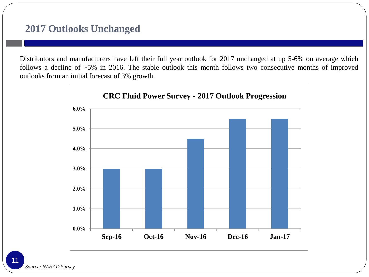#### **2017 Outlooks Unchanged**

Distributors and manufacturers have left their full year outlook for 2017 unchanged at up 5-6% on average which follows a decline of ~5% in 2016. The stable outlook this month follows two consecutive months of improved outlooks from an initial forecast of 3% growth.



*Source: NAHAD Survey* 11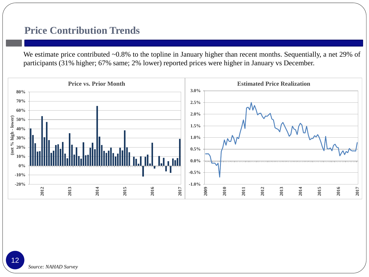#### **Price Contribution Trends**

We estimate price contributed ~0.8% to the topline in January higher than recent months. Sequentially, a net 29% of participants (31% higher; 67% same; 2% lower) reported prices were higher in January vs December.

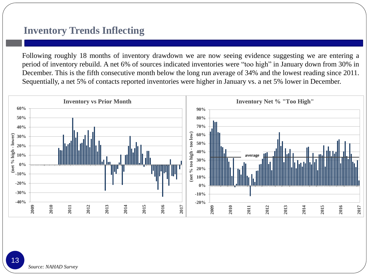#### **Inventory Trends Inflecting**

Following roughly 18 months of inventory drawdown we are now seeing evidence suggesting we are entering a period of inventory rebuild. A net 6% of sources indicated inventories were "too high" in January down from 30% in December. This is the fifth consecutive month below the long run average of 34% and the lowest reading since 2011. Sequentially, a net 5% of contacts reported inventories were higher in January vs. a net 5% lower in December.



13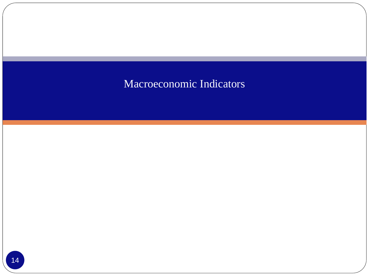## Macroeconomic Indicators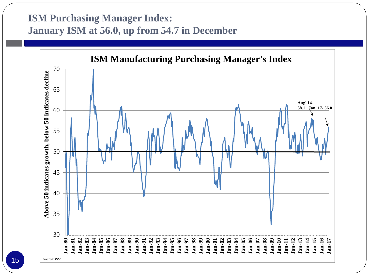#### **ISM Purchasing Manager Index: January ISM at 56.0, up from 54.7 in December**

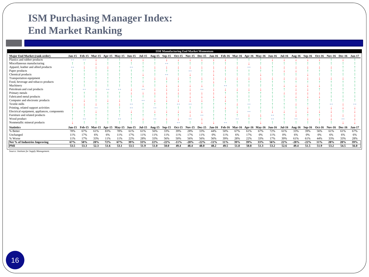### **ISM Purchasing Manager Index: End Market Ranking**

|                                              |                   |                   |        |      |                                                                                                                                                                                |               |               |        |        |        |          | <b>ISM Manufacturing End Market Momentum</b> |        |        |                             |      |      |      |        |               |        |                             |      |      |      |
|----------------------------------------------|-------------------|-------------------|--------|------|--------------------------------------------------------------------------------------------------------------------------------------------------------------------------------|---------------|---------------|--------|--------|--------|----------|----------------------------------------------|--------|--------|-----------------------------|------|------|------|--------|---------------|--------|-----------------------------|------|------|------|
| Major End Market (rank order)                |                   |                   |        |      | Jan-15 Feb-15 Mar-15 Apr-15 May-15 Jun-15 Jul-15 Aug-15 Sep-15 Oct-15 Nov-15 Dec-15 Jan-16 Feb-16 Mar-16 Apr-16 May-16 Jul-16 Jul-16 Aug-16 Sep-16 Oct-16 Nov-16 Dec-16 Jan-17 |               |               |        |        |        |          |                                              |        |        |                             |      |      |      |        |               |        |                             |      |      |      |
| Plastics and rubber products                 | $\leftrightarrow$ | $\leftrightarrow$ |        |      |                                                                                                                                                                                |               |               |        |        |        |          |                                              |        |        |                             |      |      |      |        |               |        |                             |      |      |      |
| Miscellaneous manufacturing                  |                   |                   |        |      |                                                                                                                                                                                |               |               |        |        |        |          |                                              |        |        |                             |      |      |      |        |               |        |                             |      |      |      |
| Apparel, leather and allied products         |                   |                   |        |      |                                                                                                                                                                                |               |               |        |        |        |          |                                              |        |        |                             |      |      |      |        |               |        |                             |      |      |      |
| Paper products                               |                   |                   |        |      |                                                                                                                                                                                |               |               |        |        |        |          |                                              |        |        |                             |      |      |      |        |               |        |                             |      |      |      |
| Chemical products                            |                   |                   |        |      |                                                                                                                                                                                |               |               |        |        |        |          |                                              |        |        |                             |      |      |      |        |               |        |                             |      |      |      |
| Transportation equipment                     |                   |                   |        |      |                                                                                                                                                                                |               |               |        |        |        |          |                                              |        |        |                             |      |      |      |        |               |        |                             |      |      |      |
| Food, beverage and tobacco products          |                   |                   |        |      |                                                                                                                                                                                |               |               |        |        |        |          |                                              |        |        |                             |      |      |      |        |               |        |                             |      |      |      |
| Machinery                                    |                   |                   |        |      |                                                                                                                                                                                |               |               |        |        |        |          |                                              |        |        |                             |      |      |      |        |               |        |                             |      |      |      |
| Petroleum and coal products                  |                   |                   |        |      |                                                                                                                                                                                |               |               |        |        |        |          |                                              |        |        |                             |      |      |      |        |               |        |                             |      |      |      |
| Primary metals                               |                   |                   |        |      |                                                                                                                                                                                |               |               |        |        |        |          |                                              |        |        |                             |      |      |      |        |               |        |                             |      |      |      |
| Fabricated metal products                    |                   |                   |        |      |                                                                                                                                                                                |               |               |        |        |        |          |                                              |        |        |                             |      |      |      |        |               |        |                             |      |      |      |
| Computer and electronic products             |                   |                   |        |      |                                                                                                                                                                                |               |               |        |        |        |          |                                              |        |        |                             |      |      |      |        |               |        |                             |      |      |      |
| Textile mills                                |                   |                   |        |      |                                                                                                                                                                                |               |               |        |        |        |          |                                              |        |        |                             |      |      |      |        |               |        |                             |      |      |      |
| Printing, related support activities         |                   |                   |        |      |                                                                                                                                                                                |               |               | دعه    |        |        |          |                                              |        |        |                             |      |      |      |        |               |        |                             |      |      |      |
| Electrical equipment, appliances, components |                   |                   |        |      |                                                                                                                                                                                |               |               |        |        |        |          |                                              |        |        |                             |      |      |      |        |               |        |                             |      |      |      |
| Furniture and related products               |                   |                   |        |      |                                                                                                                                                                                |               |               |        |        |        |          |                                              |        |        |                             |      |      |      |        |               |        |                             |      |      |      |
| Wood product                                 |                   |                   |        |      |                                                                                                                                                                                |               |               |        |        |        |          |                                              |        |        |                             |      |      |      |        |               |        |                             |      |      |      |
| Nonmetallic mineral products                 |                   |                   |        |      |                                                                                                                                                                                |               |               |        |        |        |          |                                              |        |        |                             |      |      |      |        |               |        |                             |      |      |      |
| <b>Statistics</b>                            | Jan-15            | Feb-15            | Mar-15 |      | Apr-15 May-15                                                                                                                                                                  | <b>Jun-15</b> | <b>Jul-15</b> | Aug-15 | Sep-15 | Oct-15 | $Nov-15$ | <b>Dec-15</b>                                | Jan-16 | Feb-16 | Mar-16 Apr-16 May-16 Jun-16 |      |      |      | Jul-16 | Aug-16 Sep-16 |        | Oct-16 Nov-16 Dec-16 Jan-17 |      |      |      |
| % Better                                     | 78%               | 67%               | 61%    | 83%  | 78%                                                                                                                                                                            | 61%           | 61%           | 56%    | 33%    | 39%    | 28%      | 33%                                          | 44%    | 50%    | 67%                         | 61%  | 67%  | 72%  | 61%    | 33%           | 39%    | 56%                         | 61%  | 61%  | 67%  |
| Unchanged                                    | 11%               | 17%               | 6%     | 6%   | 11%                                                                                                                                                                            | 17%           | 11%           | 11%    | 11%    | 11%    | 17%      | 11%                                          | 0%     | 11%    | 6%                          | 17%  | 0%   | 11%  | 0%     | 6%            | 0%     | 0%                          | 6%   | 6%   | 6%   |
| % Worse                                      | 11%               | 17%               | 33%    | 11%  | 11%                                                                                                                                                                            | 22%           | 28%           | 33%    | 56%    | 50%    | 56%      | 56%                                          | 56%    | 39%    | 28%                         | 22%  | 33%  | 17%  | 39%    | 61%           | 61%    | 44%                         | 33%  | 33%  | 28%  |
| Net % of Industries Improving                | 67%               | 50%               | 28%    | 72%  | 67%                                                                                                                                                                            | 39%           | 33%           | 22%    | $-22%$ | $-11%$ | $-28%$   | $-22%$                                       | $-11%$ | 11%    | 39%                         | 39%  | 33%  | 56%  | 22%    | $-28%$        | $-22%$ | 11%                         | 28%  | 28%  | 39%  |
| <b>PMI</b>                                   | 53.5              | 53.3              | 52.3   | 51.6 | 53.1                                                                                                                                                                           | 53.5          | 51.9          | 51.0   | 50.0   | 49.4   | 48.4     | 48.0                                         | 48.2   | 49.5   | 51.8                        | 50.8 | 51.3 | 53.2 | 52.6   | 49.4          | 51.5   | 51.9                        | 53.2 | 54.5 | 56.0 |

*Source: Institute for Supply Management.*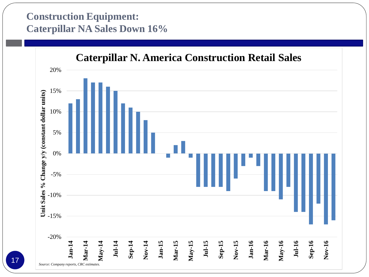### **Construction Equipment: Caterpillar NA Sales Down 16%**

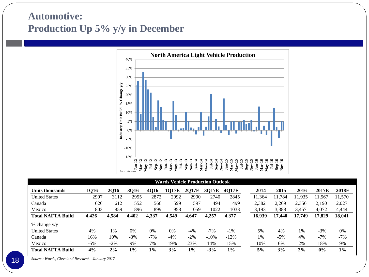### **Automotive: Production Up 5% y/y in December**



| <b>Wards Vehicle Production Outlook</b> |       |             |             |       |              |              |        |        |        |             |        |        |        |
|-----------------------------------------|-------|-------------|-------------|-------|--------------|--------------|--------|--------|--------|-------------|--------|--------|--------|
| Units thousands                         | 1Q16  | <b>2016</b> | <b>3Q16</b> | 4016  | <b>1017E</b> | <b>2017E</b> | 3017E  | 4Q17E  | 2014   | <b>2015</b> | 2016   | 2017E  | 2018E  |
| <b>United States</b>                    | 2997  | 3112        | 2955        | 2872  | 2992         | 2990         | 2740   | 2845   | 11,364 | .784        | 11.935 | 11.567 | 11,570 |
| Canada                                  | 626   | 612         | 552         | 566   | 599          | 597          | 494    | 499    | 2,382  | 2,269       | 2,356  | 2,190  | 2,027  |
| Mexico                                  | 803   | 859         | 896         | 899   | 958          | 1059         | 1022   | 1033   | 3,193  | 3,388       | 3,457  | 4,072  | 4,444  |
| <b>Total NAFTA Build</b>                | 4,426 | 4.584       | 4.402       | 4,337 | 4,549        | 4.647        | 4,257  | 4.377  | 16,939 | 17<br>.440  | 17.749 | 17,829 | 18,041 |
| % change y/y                            |       |             |             |       |              |              |        |        |        |             |        |        |        |
| <b>United States</b>                    | 4%    | 1%          | 0%          | 0%    | $0\%$        | $-4\%$       | $-7\%$ | $-1\%$ | 5%     | 4%          | 1%     | $-3\%$ | 0%     |
| Canada                                  | 16%   | 10%         | $-3%$       | $-7%$ | $-4%$        | $-2\%$       | $-10%$ | $-12%$ | 1%     | $-5%$       | 4%     | $-7%$  | $-7%$  |
| Mexico                                  | $-5%$ | $-2\%$      | 9%          | 7%    | 19%          | 23%          | 14%    | 15%    | 10%    | 6%          | 2%     | 18%    | 9%     |
| <b>Total NAFTA Build</b>                | 4%    | 2%          | $1\%$       | $1\%$ | 3%           | 1%           | $-3%$  | 1%     | 5%     | 3%          | 2%     | 0%     | $1\%$  |

*Source: Wards, Cleveland Research. January 2017*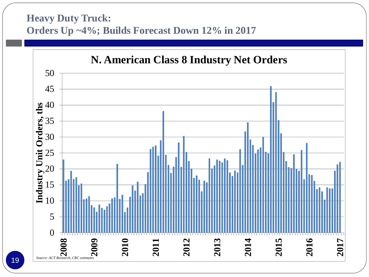#### **Heavy Duty Truck: Orders Up ~4%; Builds Forecast Down 12% in 2017**

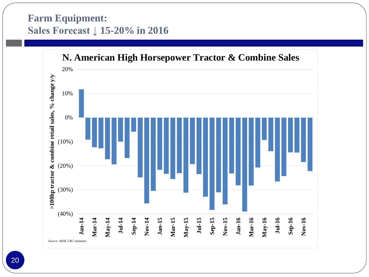#### **Farm Equipment: Sales Forecast ↓ 15-20% in 2016**